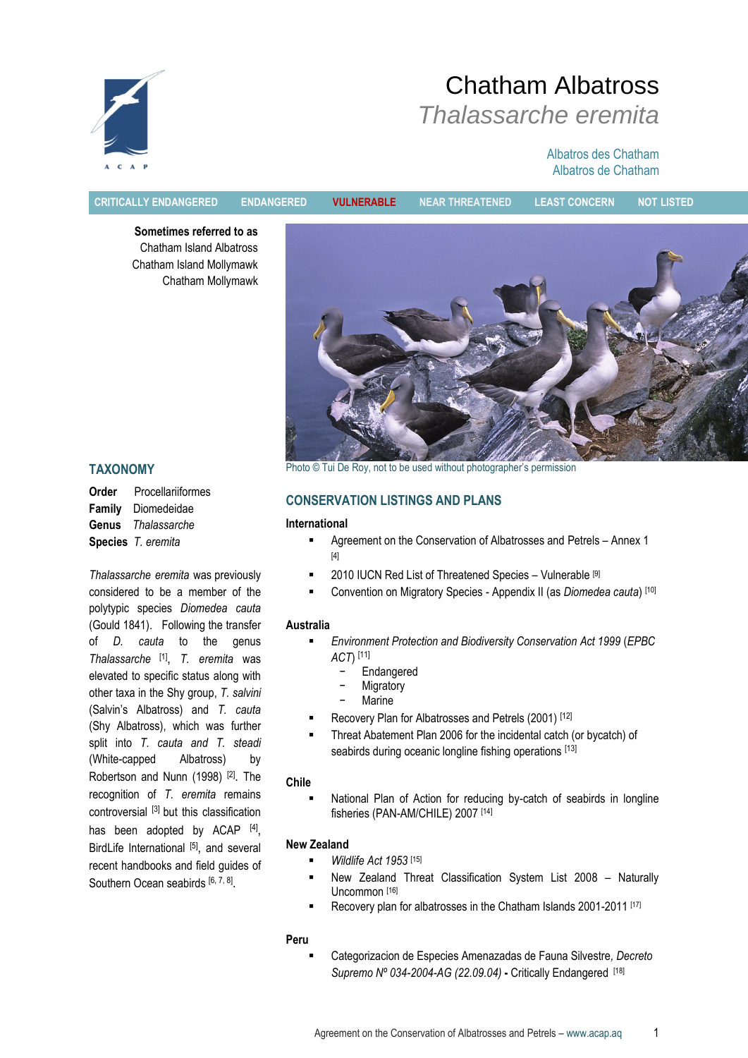

# Chatham Albatross *Thalassarche eremita*

#### Albatros des Chatham Albatros de Chatham

**CRITICALLY ENDANGERED ENDANGERED VULNERABLE NEAR THREATENED LEAST CONCERN NOT LISTED**

**Sometimes referred to as** Chatham Island Albatross Chatham Island Mollymawk Chatham Mollymawk



# **TAXONOMY**

**Order** Procellariiformes **Family** Diomedeidae **Genus** *Thalassarche* **Species** *T. eremita*

*Thalassarche eremita* was previously considered to be a member of the polytypic species *Diomedea cauta* (Gould 1841). Following the transfer of *D. cauta* to the genus *Thalassarche* [1] , *T. eremita* was elevated to specific status along with other taxa in the Shy group, *T. salvini* (Salvin"s Albatross) and *T. cauta* (Shy Albatross), which was further split into *T. cauta and T. steadi* (White-capped Albatross) by Robertson and Nunn (1998)<sup>[2]</sup>. The recognition of *T. eremita* remains controversial [3] but this classification has been adopted by ACAP [4], BirdLife International [5], and several recent handbooks and field guides of Southern Ocean seabirds [6, 7, 8].

Photo © Tui De Roy, not to be used without photographer's permission

## **CONSERVATION LISTINGS AND PLANS**

#### **International**

- Agreement on the Conservation of Albatrosses and Petrels Annex 1 [4]
- 2010 IUCN Red List of Threatened Species Vulnerable [9]
- Convention on Migratory Species Appendix II (as *Diomedea cauta*) [10]

#### **Australia**

- *Environment Protection and Biodiversity Conservation Act 1999* (*EPBC ACT*) [11]
	- − Endangered
	- − Migratory
	- − Marine
- Recovery Plan for Albatrosses and Petrels (2001) [12]
- Threat Abatement Plan 2006 for the incidental catch (or bycatch) of seabirds during oceanic longline fishing operations [13]

#### **Chile**

 National Plan of Action for reducing by-catch of seabirds in longline fisheries (PAN-AM/CHILE) 2007 [14]

#### **New Zealand**

- *Wildlife Act 1953* [15]
- New Zealand Threat Classification System List 2008 Naturally Uncommon [16]
- Recovery plan for albatrosses in the Chatham Islands 2001-2011 [17]

#### **Peru**

 Categorizacion de Especies Amenazadas de Fauna Silvestre*, Decreto Supremo Nº 034-2004-AG (22.09.04)* **-** Critically Endangered [18]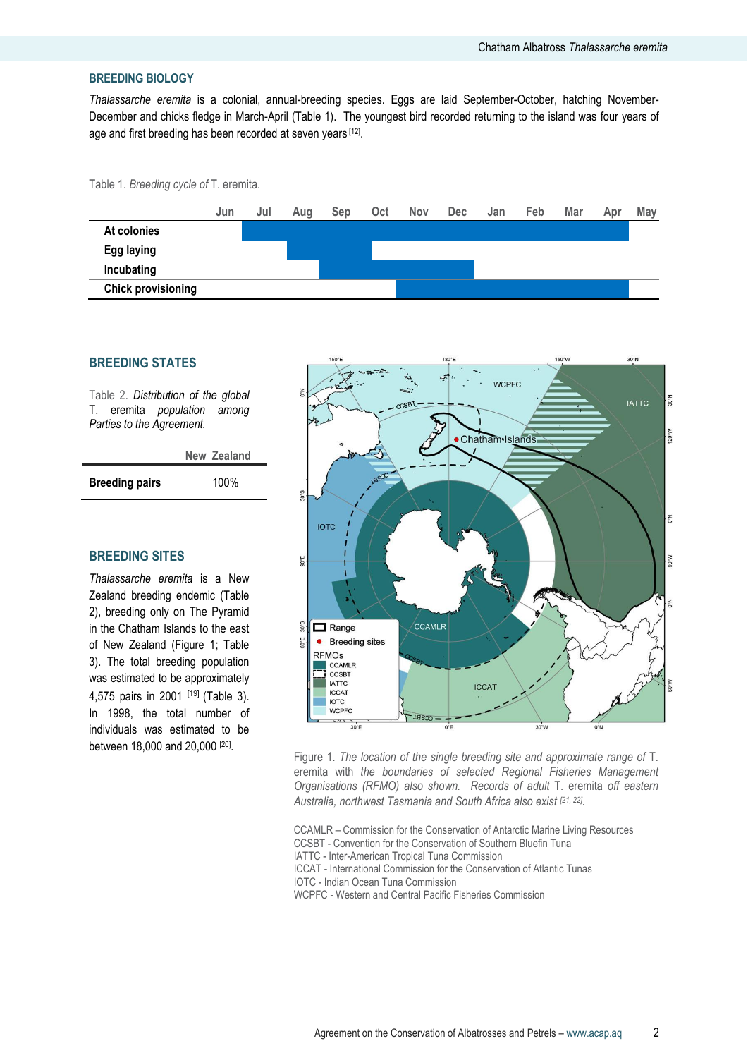#### **BREEDING BIOLOGY**

*Thalassarche eremita* is a colonial, annual-breeding species. Eggs are laid September-October, hatching November-December and chicks fledge in March-April (Table 1). The youngest bird recorded returning to the island was four years of age and first breeding has been recorded at seven years [12].

Table 1. *Breeding cycle of* T. eremita.



#### **BREEDING STATES**

Table 2. *Distribution of the global* T. eremita *population among Parties to the Agreement.*

|                       | New Zealand |
|-----------------------|-------------|
| <b>Breeding pairs</b> | 100%        |

#### **BREEDING SITES**

*Thalassarche eremita* is a New Zealand breeding endemic (Table 2), breeding only on The Pyramid in the Chatham Islands to the east of New Zealand (Figure 1: Table 3). The total breeding population was estimated to be approximately 4,575 pairs in 2001 [19] (Table 3). In 1998, the total number of individuals was estimated to be between 18,000 and 20,000 [20].



Figure 1. *The location of the single breeding site and approximate range of* T. eremita with *the boundaries of selected Regional Fisheries Management Organisations (RFMO) also shown. Records of adult* T. eremita *off eastern Australia, northwest Tasmania and South Africa also exist [21, 22] .*

CCAMLR – Commission for the Conservation of Antarctic Marine Living Resources CCSBT - Convention for the Conservation of Southern Bluefin Tuna IATTC - Inter-American Tropical Tuna Commission ICCAT - International Commission for the Conservation of Atlantic Tunas IOTC - Indian Ocean Tuna Commission WCPFC - Western and Central Pacific Fisheries Commission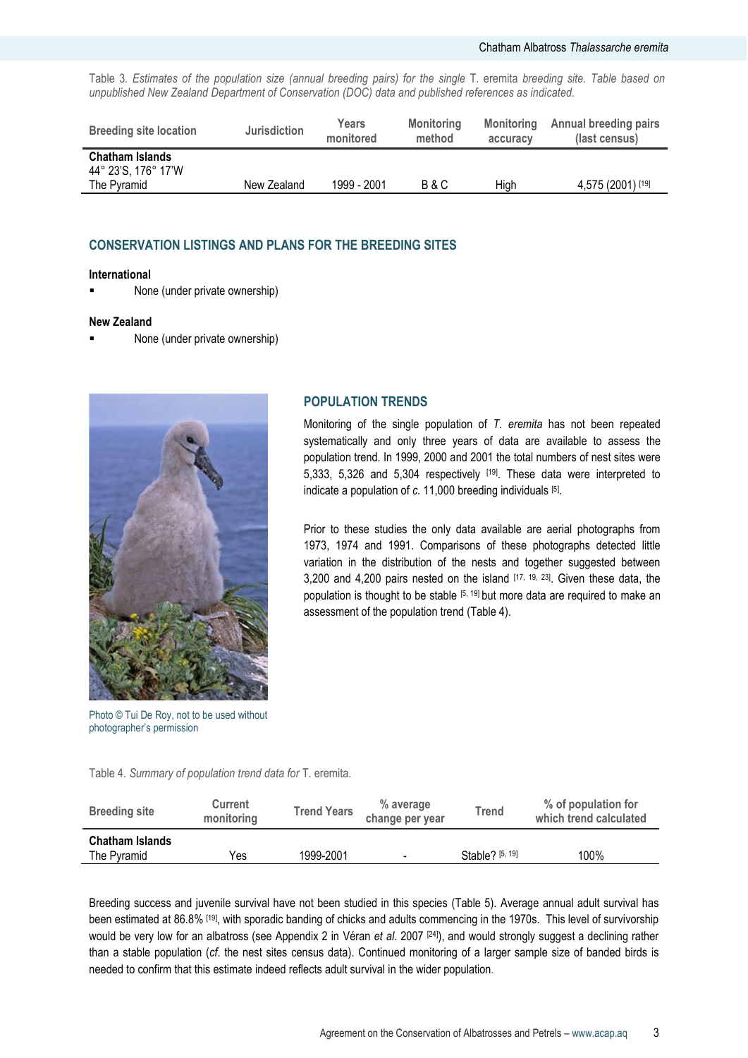Table 3*. Estimates of the population size (annual breeding pairs) for the single* T. eremita *breeding site. Table based on unpublished New Zealand Department of Conservation (DOC) data and published references as indicated.*

| <b>Breeding site location</b>                                | <b>Jurisdiction</b> | Years<br>monitored | <b>Monitoring</b><br>method | <b>Monitoring</b><br>accuracy | <b>Annual breeding pairs</b><br>(last census) |
|--------------------------------------------------------------|---------------------|--------------------|-----------------------------|-------------------------------|-----------------------------------------------|
| <b>Chatham Islands</b><br>44° 23'S, 176° 17'W<br>The Pyramid | New Zealand         | 1999 - 2001        | B & C                       | High                          | 4,575 (2001) [19]                             |

#### **CONSERVATION LISTINGS AND PLANS FOR THE BREEDING SITES**

#### **International**

■ None (under private ownership)

#### **New Zealand**

None (under private ownership)



Photo © Tui De Roy, not to be used without photographer"s permission

Table 4. *Summary of population trend data for* T. eremita*.* 

#### **POPULATION TRENDS**

Monitoring of the single population of *T. eremita* has not been repeated systematically and only three years of data are available to assess the population trend. In 1999, 2000 and 2001 the total numbers of nest sites were 5,333, 5,326 and 5,304 respectively [19]. These data were interpreted to indicate a population of *c.* 11,000 breeding individuals [5] .

Prior to these studies the only data available are aerial photographs from 1973, 1974 and 1991. Comparisons of these photographs detected little variation in the distribution of the nests and together suggested between 3,200 and 4,200 pairs nested on the island  $[17, 19, 23]$ . Given these data, the population is thought to be stable  $[5, 19]$  but more data are required to make an assessment of the population trend (Table 4).

| <b>Breeding site</b>                  | <b>Current</b><br>monitoring | <b>Trend Years</b> | % average<br>change per year | <b>Trend</b>      | % of population for<br>which trend calculated |
|---------------------------------------|------------------------------|--------------------|------------------------------|-------------------|-----------------------------------------------|
| <b>Chatham Islands</b><br>The Pyramid | Yes                          | 1999-2001          | $\qquad \qquad \blacksquare$ | Stable? $[5, 19]$ | 100%                                          |

Breeding success and juvenile survival have not been studied in this species (Table 5). Average annual adult survival has been estimated at 86.8% [19], with sporadic banding of chicks and adults commencing in the 1970s. This level of survivorship would be very low for an albatross (see Appendix 2 in Véran *et al.* 2007 <sup>[24]</sup>), and would strongly suggest a declining rather than a stable population (*cf*. the nest sites census data). Continued monitoring of a larger sample size of banded birds is needed to confirm that this estimate indeed reflects adult survival in the wider population.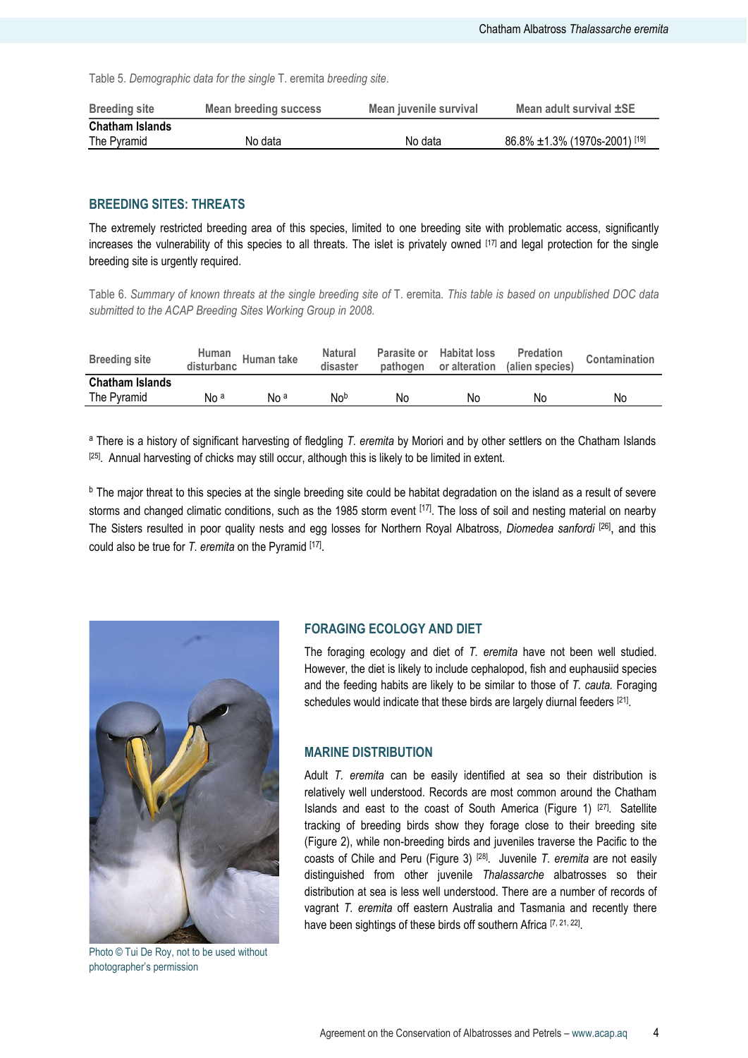Table 5. *Demographic data for the single* T. eremita *breeding site*.

| <b>Breeding site</b>   | Mean breeding success | Mean juvenile survival | Mean adult survival ±SE              |
|------------------------|-----------------------|------------------------|--------------------------------------|
| <b>Chatham Islands</b> |                       |                        |                                      |
| The Pyramid            | No data               | No data                | $86.8\% \pm 1.3\%$ (1970s-2001) [19] |

#### **BREEDING SITES: THREATS**

The extremely restricted breeding area of this species, limited to one breeding site with problematic access, significantly increases the vulnerability of this species to all threats. The islet is privately owned [17] and legal protection for the single breeding site is urgently required.

Table 6. *Summary of known threats at the single breeding site of* T. eremita*. This table is based on unpublished DOC data submitted to the ACAP Breeding Sites Working Group in 2008.*

| <b>Breeding site</b>                  | Human<br>disturbanc | Human take      | Natural<br>disaster | pathogen | Parasite or Habitat loss<br>or alteration | <b>Predation</b><br>(alien species) | Contamination |
|---------------------------------------|---------------------|-----------------|---------------------|----------|-------------------------------------------|-------------------------------------|---------------|
| <b>Chatham Islands</b><br>The Pyramid | No <sup>a</sup>     | No <sup>a</sup> | Nob                 | No       | No                                        | No                                  | No            |

<sup>a</sup> There is a history of significant harvesting of fledgling *T. eremita* by Moriori and by other settlers on the Chatham Islands [25] . Annual harvesting of chicks may still occur, although this is likely to be limited in extent.

b The major threat to this species at the single breeding site could be habitat degradation on the island as a result of severe storms and changed climatic conditions, such as the 1985 storm event  $[17]$ . The loss of soil and nesting material on nearby The Sisters resulted in poor quality nests and egg losses for Northern Royal Albatross, *Diomedea sanfordi* [26] , and this could also be true for *T. eremita* on the Pyramid [17].



Photo © Tui De Roy, not to be used without photographer"s permission

#### **FORAGING ECOLOGY AND DIET**

The foraging ecology and diet of *T. eremita* have not been well studied. However, the diet is likely to include cephalopod, fish and euphausiid species and the feeding habits are likely to be similar to those of *T. cauta.* Foraging schedules would indicate that these birds are largely diurnal feeders [21].

#### **MARINE DISTRIBUTION**

Adult *T. eremita* can be easily identified at sea so their distribution is relatively well understood. Records are most common around the Chatham Islands and east to the coast of South America (Figure 1) [27]. Satellite tracking of breeding birds show they forage close to their breeding site (Figure 2), while non-breeding birds and juveniles traverse the Pacific to the coasts of Chile and Peru (Figure 3) [28]. Juvenile *T. eremita* are not easily distinguished from other juvenile *Thalassarche* albatrosses so their distribution at sea is less well understood. There are a number of records of vagrant *T. eremita* off eastern Australia and Tasmania and recently there have been sightings of these birds off southern Africa [7, 21, 22].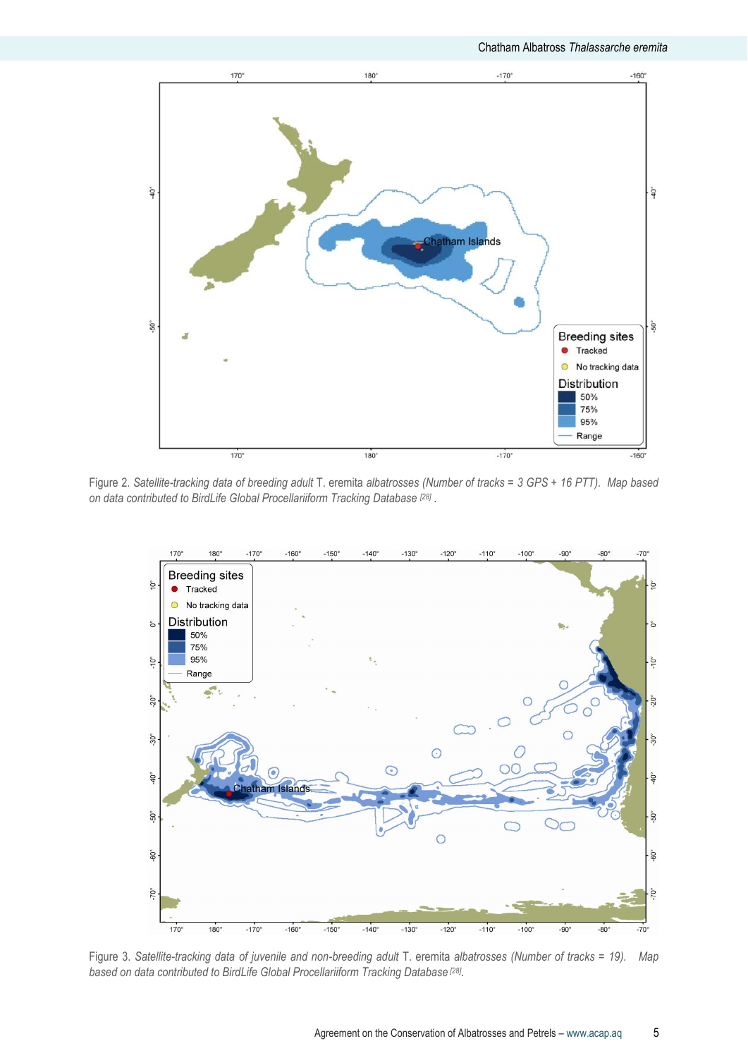

Figure 2. *Satellite-tracking data of breeding adult* T. eremita *albatrosses (Number of tracks = 3 GPS + 16 PTT). Map based on data contributed to BirdLife Global Procellariiform Tracking Database [28] .*



Figure 3. *Satellite-tracking data of juvenile and non-breeding adult* T. eremita *albatrosses (Number of tracks = 19). Map based on data contributed to BirdLife Global Procellariiform Tracking Database [28] .*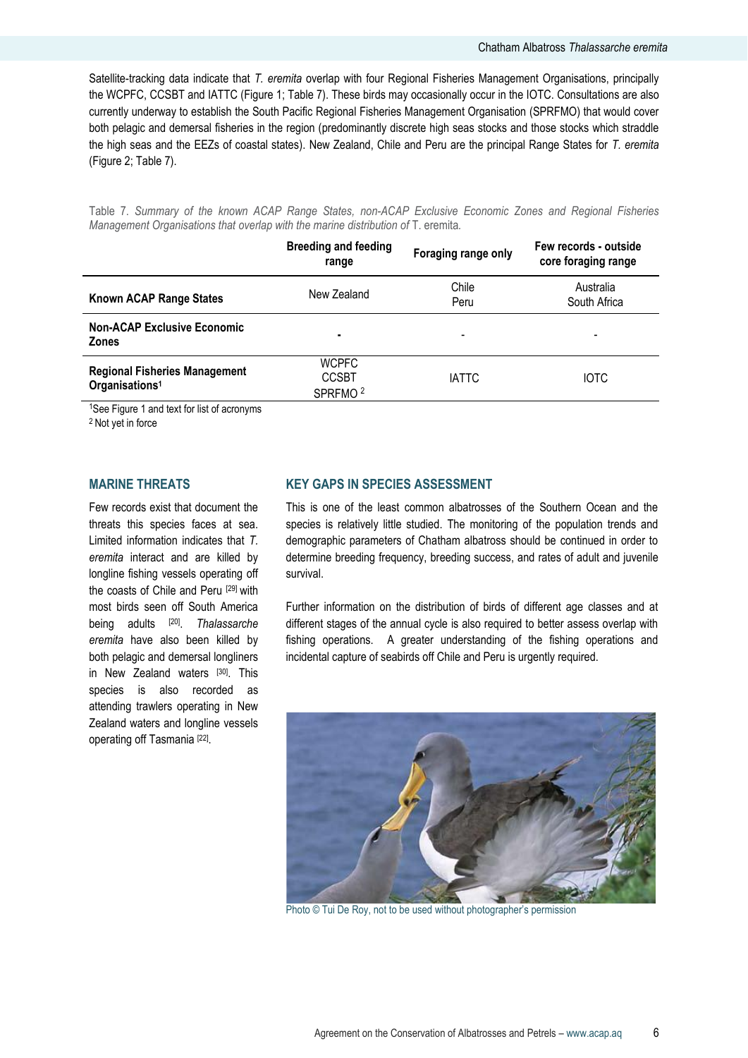Satellite-tracking data indicate that *T. eremita* overlap with four Regional Fisheries Management Organisations, principally the WCPFC, CCSBT and IATTC (Figure 1; Table 7). These birds may occasionally occur in the IOTC. Consultations are also currently underway to establish the South Pacific Regional Fisheries Management Organisation (SPRFMO) that would cover both pelagic and demersal fisheries in the region (predominantly discrete high seas stocks and those stocks which straddle the high seas and the EEZs of coastal states). New Zealand, Chile and Peru are the principal Range States for *T. eremita* (Figure 2; Table 7).

Table 7. *Summary of the known ACAP Range States, non-ACAP Exclusive Economic Zones and Regional Fisheries Management Organisations that overlap with the marine distribution of* T. eremita.

| Chile<br>Peru | Australia<br>South Africa |
|---------------|---------------------------|
|               |                           |
| <b>IATTC</b>  | <b>IOTC</b>               |
|               |                           |

<sup>1</sup>See Figure 1 and text for list of acronyms

<sup>2</sup> Not yet in force

#### **MARINE THREATS**

Few records exist that document the threats this species faces at sea. Limited information indicates that *T. eremita* interact and are killed by longline fishing vessels operating off the coasts of Chile and Peru [29] with most birds seen off South America being adults [20] . *Thalassarche eremita* have also been killed by both pelagic and demersal longliners in New Zealand waters [30]. This species is also recorded as attending trawlers operating in New Zealand waters and longline vessels operating off Tasmania<sup>[22]</sup>.

### **KEY GAPS IN SPECIES ASSESSMENT**

This is one of the least common albatrosses of the Southern Ocean and the species is relatively little studied. The monitoring of the population trends and demographic parameters of Chatham albatross should be continued in order to determine breeding frequency, breeding success, and rates of adult and juvenile survival.

Further information on the distribution of birds of different age classes and at different stages of the annual cycle is also required to better assess overlap with fishing operations. A greater understanding of the fishing operations and incidental capture of seabirds off Chile and Peru is urgently required.



Photo © Tui De Roy, not to be used without photographer's permission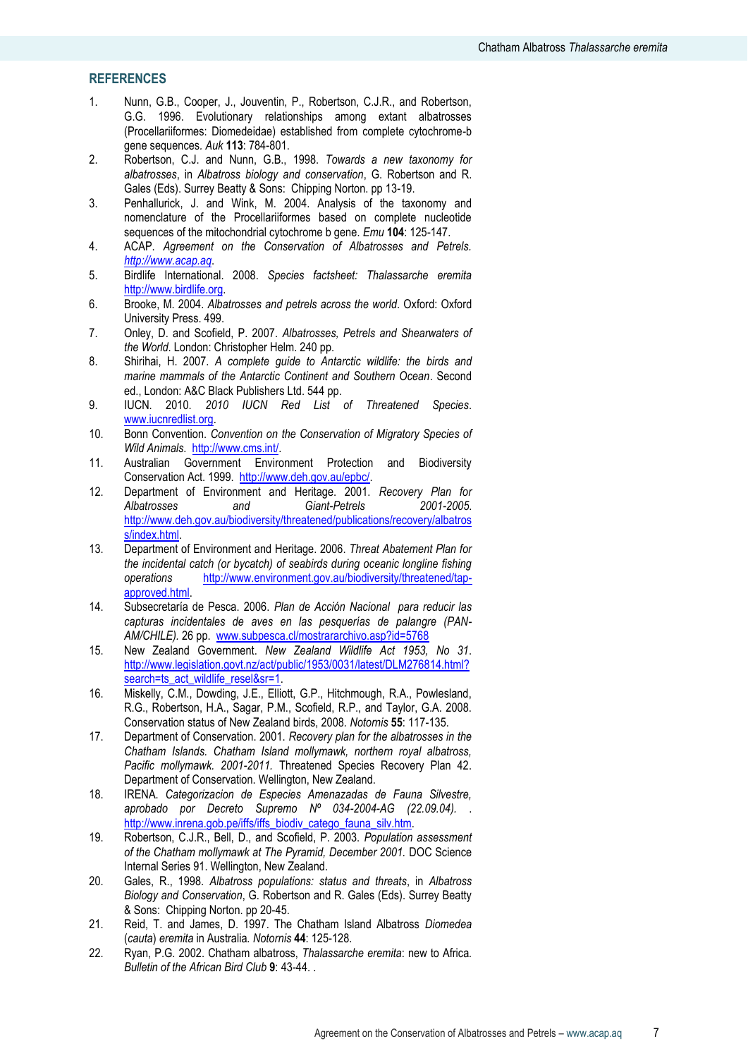#### **REFERENCES**

- 1. Nunn, G.B., Cooper, J., Jouventin, P., Robertson, C.J.R., and Robertson, G.G. 1996. Evolutionary relationships among extant albatrosses (Procellariiformes: Diomedeidae) established from complete cytochrome-b gene sequences*. Auk* **113**: 784-801.
- 2. Robertson, C.J. and Nunn, G.B., 1998. *Towards a new taxonomy for albatrosses*, in *Albatross biology and conservation*, G. Robertson and R. Gales (Eds). Surrey Beatty & Sons: Chipping Norton. pp 13-19.
- 3. Penhallurick, J. and Wink, M. 2004. Analysis of the taxonomy and nomenclature of the Procellariiformes based on complete nucleotide sequences of the mitochondrial cytochrome b gene*. Emu* **104**: 125-147.
- 4. ACAP. *Agreement on the Conservation of Albatrosses and Petrels. [http://www.acap.aq](http://www.acap.aq/)*.
- 5. Birdlife International. 2008. *Species factsheet: Thalassarche eremita*  [http://www.birdlife.org.](http://www.birdlife.org/)
- 6. Brooke, M. 2004. *Albatrosses and petrels across the world*. Oxford: Oxford University Press. 499.
- 7. Onley, D. and Scofield, P. 2007. *Albatrosses, Petrels and Shearwaters of the World*. London: Christopher Helm. 240 pp.
- 8. Shirihai, H. 2007. *A complete guide to Antarctic wildlife: the birds and marine mammals of the Antarctic Continent and Southern Ocean*. Second ed., London: A&C Black Publishers Ltd. 544 pp.
- 9. IUCN. 2010. *2010 IUCN Red List of Threatened Species*. [www.iucnredlist.org.](http://www.iucnredlist.org/)
- 10. Bonn Convention. *Convention on the Conservation of Migratory Species of Wild Animals*. [http://www.cms.int/.](http://www.cms.int/)
- 11. Australian Government Environment Protection and Biodiversity Conservation Act. 1999. [http://www.deh.gov.au/epbc/.](http://www.deh.gov.au/epbc/)
- 12. Department of Environment and Heritage. 2001. *Recovery Plan for Albatrosses and Giant-Petrels 2001-2005*. [http://www.deh.gov.au/biodiversity/threatened/publications/recovery/albatros](http://www.deh.gov.au/biodiversity/threatened/publications/recovery/albatross/index.html) [s/index.html.](http://www.deh.gov.au/biodiversity/threatened/publications/recovery/albatross/index.html)
- 13. Department of Environment and Heritage. 2006. *Threat Abatement Plan for the incidental catch (or bycatch) of seabirds during oceanic longline fishing operations* [http://www.environment.gov.au/biodiversity/threatened/tap](http://www.environment.gov.au/biodiversity/threatened/tap-approved.html)[approved.html.](http://www.environment.gov.au/biodiversity/threatened/tap-approved.html)
- 14. Subsecretaría de Pesca. 2006. *Plan de Acción Nacional para reducir las capturas incidentales de aves en las pesquerías de palangre (PAN-AM/CHILE).* 26 pp. [www.subpesca.cl/mostrararchivo.asp?id=5768](http://www.subpesca.cl/mostrararchivo.asp?id=5768)
- 15. New Zealand Government. *New Zealand Wildlife Act 1953, No 31*. [http://www.legislation.govt.nz/act/public/1953/0031/latest/DLM276814.html?](http://www.legislation.govt.nz/act/public/1953/0031/latest/DLM276814.html?search=ts_act_wildlife_resel&sr=1) [search=ts\\_act\\_wildlife\\_resel&sr=1.](http://www.legislation.govt.nz/act/public/1953/0031/latest/DLM276814.html?search=ts_act_wildlife_resel&sr=1)
- 16. Miskelly, C.M., Dowding, J.E., Elliott, G.P., Hitchmough, R.A., Powlesland, R.G., Robertson, H.A., Sagar, P.M., Scofield, R.P., and Taylor, G.A. 2008. Conservation status of New Zealand birds, 2008*. Notornis* **55**: 117-135.
- 17. Department of Conservation. 2001. *Recovery plan for the albatrosses in the Chatham Islands. Chatham Island mollymawk, northern royal albatross, Pacific mollymawk. 2001-2011.* Threatened Species Recovery Plan 42. Department of Conservation. Wellington, New Zealand.
- 18. IRENA. *Categorizacion de Especies Amenazadas de Fauna Silvestre, aprobado por Decreto Supremo Nº 034-2004-AG (22.09.04).* . [http://www.inrena.gob.pe/iffs/iffs\\_biodiv\\_catego\\_fauna\\_silv.htm.](http://www.inrena.gob.pe/iffs/iffs_biodiv_catego_fauna_silv.htm)
- 19. Robertson, C.J.R., Bell, D., and Scofield, P. 2003. *Population assessment of the Chatham mollymawk at The Pyramid, December 2001.* DOC Science Internal Series 91. Wellington, New Zealand.
- 20. Gales, R., 1998. *Albatross populations: status and threats*, in *Albatross Biology and Conservation*, G. Robertson and R. Gales (Eds). Surrey Beatty & Sons: Chipping Norton. pp 20-45.
- 21. Reid, T. and James, D. 1997. The Chatham Island Albatross *Diomedea* (*cauta*) *eremita* in Australia*. Notornis* **44**: 125-128.
- 22. Ryan, P.G. 2002. Chatham albatross, *Thalassarche eremita*: new to Africa*. Bulletin of the African Bird Club* **9**: 43-44. .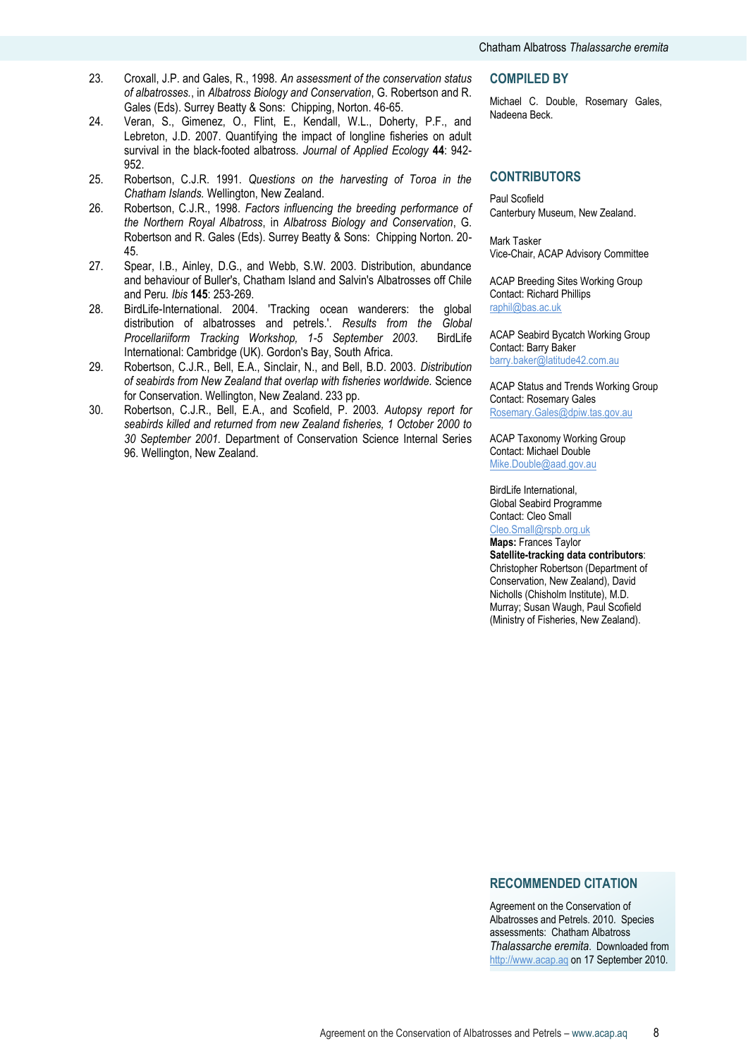- 23. Croxall, J.P. and Gales, R., 1998. *An assessment of the conservation status of albatrosses.*, in *Albatross Biology and Conservation*, G. Robertson and R. Gales (Eds). Surrey Beatty & Sons: Chipping, Norton. 46-65.
- 24. Veran, S., Gimenez, O., Flint, E., Kendall, W.L., Doherty, P.F., and Lebreton, J.D. 2007. Quantifying the impact of longline fisheries on adult survival in the black-footed albatross*. Journal of Applied Ecology* **44**: 942- 952.
- 25. Robertson, C.J.R. 1991. *Questions on the harvesting of Toroa in the Chatham Islands.* Wellington, New Zealand.
- 26. Robertson, C.J.R., 1998. *Factors influencing the breeding performance of the Northern Royal Albatross*, in *Albatross Biology and Conservation*, G. Robertson and R. Gales (Eds). Surrey Beatty & Sons: Chipping Norton. 20- 45.
- 27. Spear, I.B., Ainley, D.G., and Webb, S.W. 2003. Distribution, abundance and behaviour of Buller's, Chatham Island and Salvin's Albatrosses off Chile and Peru*. Ibis* **145**: 253-269.
- 28. BirdLife-International. 2004. 'Tracking ocean wanderers: the global distribution of albatrosses and petrels.'. *Results from the Global Procellariiform Tracking Workshop, 1-5 September 2003*. BirdLife International: Cambridge (UK). Gordon's Bay, South Africa.
- 29. Robertson, C.J.R., Bell, E.A., Sinclair, N., and Bell, B.D. 2003. *Distribution of seabirds from New Zealand that overlap with fisheries worldwide.* Science for Conservation. Wellington, New Zealand. 233 pp.
- 30. Robertson, C.J.R., Bell, E.A., and Scofield, P. 2003. *Autopsy report for seabirds killed and returned from new Zealand fisheries, 1 October 2000 to 30 September 2001.* Department of Conservation Science Internal Series 96. Wellington, New Zealand.

#### **COMPILED BY**

Michael C. Double, Rosemary Gales, Nadeena Beck.

#### **CONTRIBUTORS**

Paul Scofield Canterbury Museum, New Zealand.

Mark Tasker Vice-Chair, ACAP Advisory Committee

ACAP Breeding Sites Working Group Contact: Richard Phillips [raphil@bas.ac.uk](mailto:raphil@bas.ac.uk)

ACAP Seabird Bycatch Working Group Contact: Barry Baker [barry.baker@latitude42.com.au](mailto:barry.baker@latitude42.com.au)

ACAP Status and Trends Working Group Contact: Rosemary Gales [Rosemary.Gales@dpiw.tas.gov.au](mailto:Rosemary.Gales@dpiw.tas.gov.au)

ACAP Taxonomy Working Group Contact: Michael Double [Mike.Double@aad.gov.au](mailto:Mike.Double@aad.gov.au)

BirdLife International, Global Seabird Programme

Contact: Cleo Small [Cleo.Small@rspb.org.uk](mailto:Cleo.Small@rspb.org.uk)

**Maps:** Frances Taylor

**Satellite-tracking data contributors**: Christopher Robertson (Department of Conservation, New Zealand), David Nicholls (Chisholm Institute), M.D. Murray; Susan Waugh, Paul Scofield (Ministry of Fisheries, New Zealand).

#### **RECOMMENDED CITATION**

Agreement on the Conservation of Albatrosses and Petrels. 2010. Species assessments: Chatham Albatross *Thalassarche eremita*. Downloaded from [http://www.acap.aq](http://www.acap.aq/) on 17 September 2010.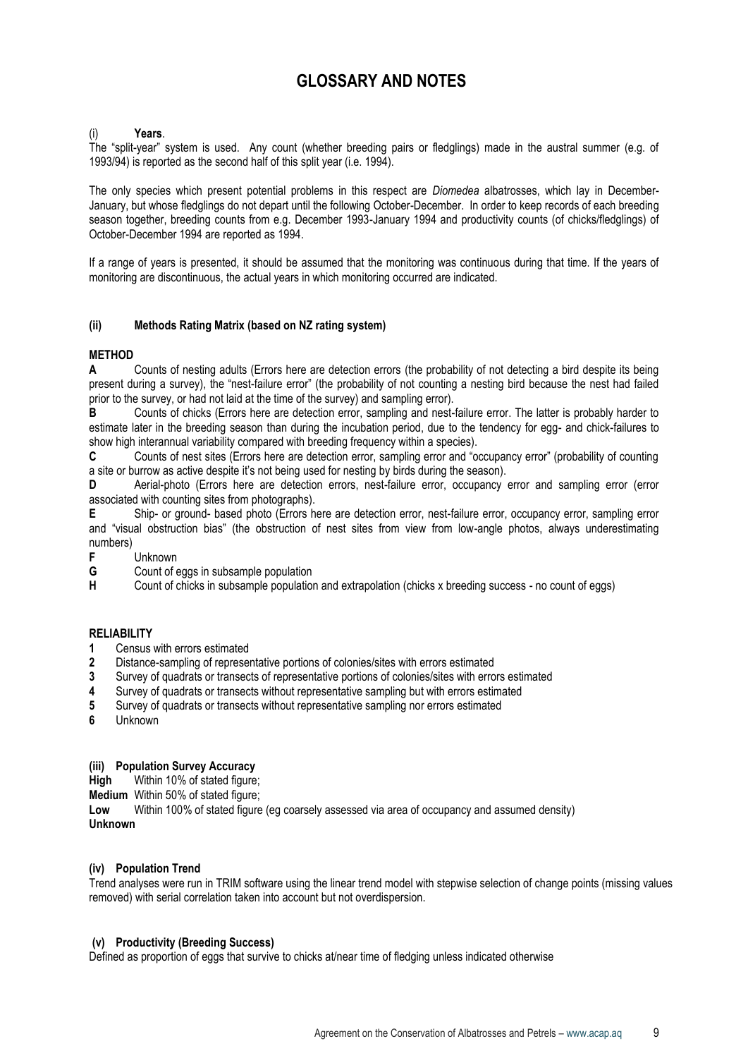# **GLOSSARY AND NOTES**

#### (i) **Years**.

The "split-year" system is used. Any count (whether breeding pairs or fledglings) made in the austral summer (e.g. of 1993/94) is reported as the second half of this split year (i.e. 1994).

The only species which present potential problems in this respect are *Diomedea* albatrosses, which lay in December-January, but whose fledglings do not depart until the following October-December. In order to keep records of each breeding season together, breeding counts from e.g. December 1993-January 1994 and productivity counts (of chicks/fledglings) of October-December 1994 are reported as 1994.

If a range of years is presented, it should be assumed that the monitoring was continuous during that time. If the years of monitoring are discontinuous, the actual years in which monitoring occurred are indicated.

#### **(ii) Methods Rating Matrix (based on NZ rating system)**

#### **METHOD**

**A** Counts of nesting adults (Errors here are detection errors (the probability of not detecting a bird despite its being present during a survey), the "nest-failure error" (the probability of not counting a nesting bird because the nest had failed prior to the survey, or had not laid at the time of the survey) and sampling error).

**B** Counts of chicks (Errors here are detection error, sampling and nest-failure error. The latter is probably harder to estimate later in the breeding season than during the incubation period, due to the tendency for egg- and chick-failures to show high interannual variability compared with breeding frequency within a species).

**C** Counts of nest sites (Errors here are detection error, sampling error and "occupancy error" (probability of counting a site or burrow as active despite it's not being used for nesting by birds during the season).

**D** Aerial-photo (Errors here are detection errors, nest-failure error, occupancy error and sampling error (error associated with counting sites from photographs).

**E** Ship- or ground- based photo (Errors here are detection error, nest-failure error, occupancy error, sampling error and "visual obstruction bias" (the obstruction of nest sites from view from low-angle photos, always underestimating numbers)

**F** Unknown<br>**G** Count of e

**G** Count of eggs in subsample population

**H** Count of chicks in subsample population and extrapolation (chicks x breeding success - no count of eggs)

#### **RELIABILITY**

- **1** Census with errors estimated
- **2** Distance-sampling of representative portions of colonies/sites with errors estimated
- **3** Survey of quadrats or transects of representative portions of colonies/sites with errors estimated
- **4** Survey of quadrats or transects without representative sampling but with errors estimated
- **5** Survey of quadrats or transects without representative sampling nor errors estimated
- **6** Unknown

#### **(iii) Population Survey Accuracy**

**High** Within 10% of stated figure;

**Medium** Within 50% of stated figure;

**Low** Within 100% of stated figure (eg coarsely assessed via area of occupancy and assumed density) **Unknown**

#### **(iv) Population Trend**

Trend analyses were run in TRIM software using the linear trend model with stepwise selection of change points (missing values removed) with serial correlation taken into account but not overdispersion.

#### **(v) Productivity (Breeding Success)**

Defined as proportion of eggs that survive to chicks at/near time of fledging unless indicated otherwise